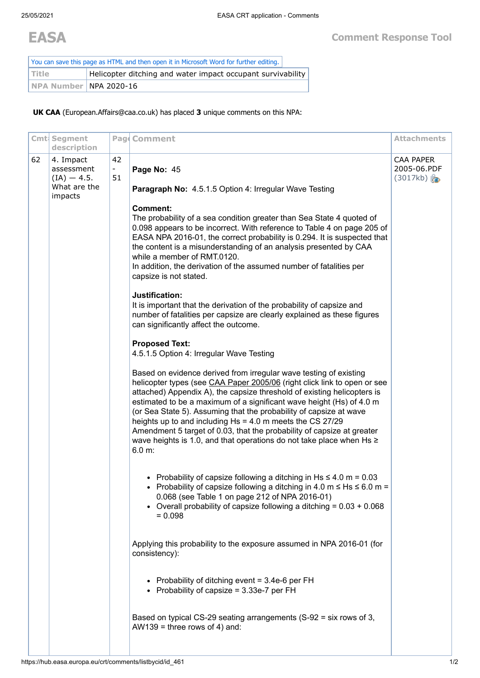| You can save this page as HTML and then open it in Microsoft Word for further editing. |                                                             |  |  |  |  |
|----------------------------------------------------------------------------------------|-------------------------------------------------------------|--|--|--|--|
| l Title                                                                                | Helicopter ditching and water impact occupant survivability |  |  |  |  |
| NPA Number NPA 2020-16                                                                 |                                                             |  |  |  |  |

**UK CAA** (European.Affairs@caa.co.uk) has placed **3** unique comments on this NPA:

|    | Cmt Segment                                                                        |                | Pag Comment                                                                                                                                                                                                                                                                                                                                                                                                                                                                                                                                                                                                                                                                                                                                                                                                                                                                                                                                                                                                                                                                                                                                                                                                                                                                                                                                                                                                                                                                                                                                                                                                                                                                                                                                                                                                                                                                                                                                                                                                                     | <b>Attachments</b>                   |
|----|------------------------------------------------------------------------------------|----------------|---------------------------------------------------------------------------------------------------------------------------------------------------------------------------------------------------------------------------------------------------------------------------------------------------------------------------------------------------------------------------------------------------------------------------------------------------------------------------------------------------------------------------------------------------------------------------------------------------------------------------------------------------------------------------------------------------------------------------------------------------------------------------------------------------------------------------------------------------------------------------------------------------------------------------------------------------------------------------------------------------------------------------------------------------------------------------------------------------------------------------------------------------------------------------------------------------------------------------------------------------------------------------------------------------------------------------------------------------------------------------------------------------------------------------------------------------------------------------------------------------------------------------------------------------------------------------------------------------------------------------------------------------------------------------------------------------------------------------------------------------------------------------------------------------------------------------------------------------------------------------------------------------------------------------------------------------------------------------------------------------------------------------------|--------------------------------------|
| 62 | description<br>4. Impact<br>assessment<br>$(IA) - 4.5.$<br>What are the<br>impacts | 42<br>Ξ.<br>51 | Page No: 45<br>Paragraph No: 4.5.1.5 Option 4: Irregular Wave Testing<br><b>Comment:</b><br>The probability of a sea condition greater than Sea State 4 quoted of<br>0.098 appears to be incorrect. With reference to Table 4 on page 205 of<br>EASA NPA 2016-01, the correct probability is 0.294. It is suspected that<br>the content is a misunderstanding of an analysis presented by CAA<br>while a member of RMT.0120.<br>In addition, the derivation of the assumed number of fatalities per<br>capsize is not stated.<br>Justification:<br>It is important that the derivation of the probability of capsize and<br>number of fatalities per capsize are clearly explained as these figures<br>can significantly affect the outcome.<br><b>Proposed Text:</b><br>4.5.1.5 Option 4: Irregular Wave Testing<br>Based on evidence derived from irregular wave testing of existing<br>helicopter types (see CAA Paper 2005/06 (right click link to open or see<br>attached) Appendix A), the capsize threshold of existing helicopters is<br>estimated to be a maximum of a significant wave height (Hs) of 4.0 m<br>(or Sea State 5). Assuming that the probability of capsize at wave<br>heights up to and including $Hs = 4.0$ m meets the CS 27/29<br>Amendment 5 target of 0.03, that the probability of capsize at greater<br>wave heights is 1.0, and that operations do not take place when Hs ≥<br>6.0 m:<br>• Probability of capsize following a ditching in $Hs \le 4.0$ m = 0.03<br>• Probability of capsize following a ditching in 4.0 m $\leq$ Hs $\leq$ 6.0 m =<br>0.068 (see Table 1 on page 212 of NPA 2016-01)<br>• Overall probability of capsize following a ditching = $0.03 + 0.068$<br>$= 0.098$<br>Applying this probability to the exposure assumed in NPA 2016-01 (for<br>consistency):<br>• Probability of ditching event = $3.4e-6$ per FH<br>• Probability of capsize = 3.33e-7 per FH<br>Based on typical CS-29 seating arrangements (S-92 = six rows of 3,<br>AW139 = three rows of 4) and: | CAA PAPER<br>2005-06.PDF<br>(3017kb) |